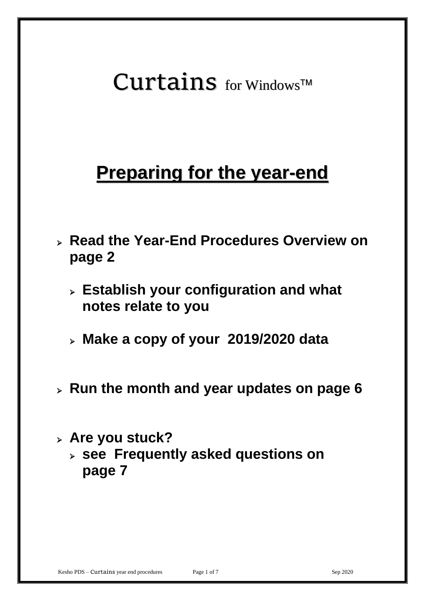# $Curtains$  for Windows<sup>TM</sup>

## **Preparing for the year-end**

- ➢ **Read the Year-End Procedures Overview on page 2**
	- ➢ **Establish your configuration and what notes relate to you**
	- ➢ **Make a copy of your 2019/2020 data**
- ➢ **Run the month and year updates on page 6**
- ➢ **Are you stuck?** 
	- ➢ **see Frequently asked questions on page 7**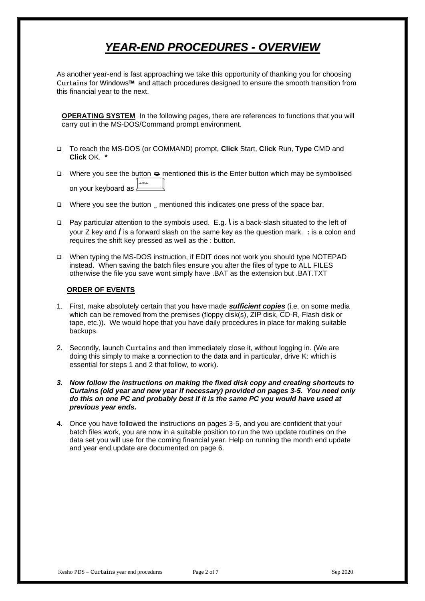## *YEAR-END PROCEDURES - OVERVIEW*

As another year-end is fast approaching we take this opportunity of thanking you for choosing Curtains for Windows<sup>™</sup> and attach procedures designed to ensure the smooth transition from this financial year to the next.

**OPERATING SYSTEM** In the following pages, there are references to functions that you will carry out in the MS-DOS/Command prompt environment.

- ❑ To reach the MS-DOS (or COMMAND) prompt, **Click** Start, **Click** Run, **Type** CMD and **Click** OK. **\***
- ❑ Where you see the button mentioned this is the Enter button which may be symbolised on your keyboard as **Finally**
- ❑ Where you see the button **̺** mentioned this indicates one press of the space bar.
- ❑ Pay particular attention to the symbols used. E.g. **\** is a back-slash situated to the left of your Z key and **/** is a forward slash on the same key as the question mark. **:** is a colon and requires the shift key pressed as well as the : button.
- ❑ When typing the MS-DOS instruction, if EDIT does not work you should type NOTEPAD instead. When saving the batch files ensure you alter the files of type to ALL FILES otherwise the file you save wont simply have .BAT as the extension but .BAT.TXT

#### **ORDER OF EVENTS**

- 1. First, make absolutely certain that you have made *sufficient copies* (i.e. on some media which can be removed from the premises (floppy disk(s), ZIP disk, CD-R, Flash disk or tape, etc.)). We would hope that you have daily procedures in place for making suitable backups.
- 2. Secondly, launch Curtains and then immediately close it, without logging in. (We are doing this simply to make a connection to the data and in particular, drive K: which is essential for steps 1 and 2 that follow, to work).
- *3. Now follow the instructions on making the fixed disk copy and creating shortcuts to Curtains (old year and new year if necessary) provided on pages 3-5. You need only do this on one PC and probably best if it is the same PC you would have used at previous year ends.*
- 4. Once you have followed the instructions on pages 3-5, and you are confident that your batch files work, you are now in a suitable position to run the two update routines on the data set you will use for the coming financial year. Help on running the month end update and year end update are documented on page 6.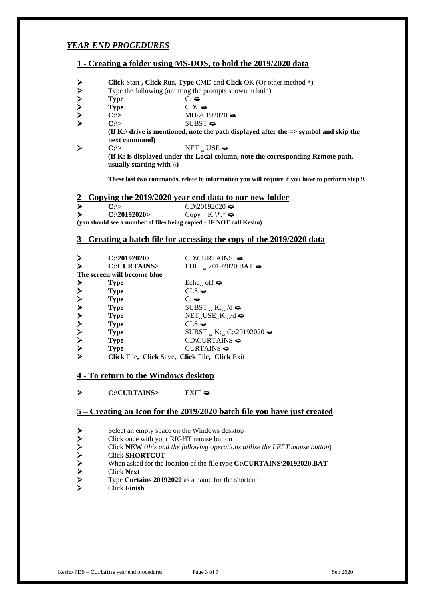#### *YEAR-END PROCEDURES*

#### **1 - Creating a folder using MS-DOS, to hold the 2019/2020 data**

- <p>► <b>Click Start, Click Run, Type CMD and Click OK (Or other method \*)</b></p>\n<p>▶ <b>Type</b> <b>C:</b> <math display="inline">\triangleright</math> <b>Type</b> <b>C</b> <math display="inline">\triangleright</math> <b>C</b> <math display="inline">\triangleright</math> <b>C</b> <math display="inline">\triangleright</math> <b>C</b> <math display="inline">\triangleright</math> <b>C</b> <math display="inline">\triangleright</math> <b>C</b> <math display="inline">\triangleright</math> <b>C</b> <math display="inline">\triangleright</math> <b>C</b> <math display="inline">\triangleright</math> <b>C</b> <math display="inline">\triangleright
- ➢ Type the following (omitting the prompts shown in bold).
- ➢ **Type** C:
- Type CD\ <del>●</del>
- $\text{CD}$  C:\> MD\20192020
- ➢ **C:\>** SUBST

**(If K:\ drive is mentioned, note the path displayed after the => symbol and skip the next command)** ➢ **C:\>** NET **̺**USE

**(If K: is displayed under the Local column, note the corresponding Remote path, usually starting with \\)**

**These last two commands, relate to information you will require if you have to perform step 9.**

#### **2 - Copying the 2019/2020 year end data to our new folder**

| ↘                                                                   | $C: \succ$     | $CD \geq 20192020$                   |
|---------------------------------------------------------------------|----------------|--------------------------------------|
| ≻                                                                   | $C:\20192020>$ | Copy $_K:\mathbb{R}^*$ $\Rightarrow$ |
| (you should see a number of files being copied - IF NOT call Kesho) |                |                                      |

#### **3 - Creating a batch file for accessing the copy of the 2019/2020 data**

|   | $C$ :\20192020>                                | $CD$ CD $\subset$ D $\subset$ TAINS $\Rightarrow$ |
|---|------------------------------------------------|---------------------------------------------------|
|   | C:\CURTAINS>                                   | EDIT $\ldots$ 20192020.BAT                        |
|   | The screen will become blue                    |                                                   |
| ≻ | <b>Type</b>                                    | Echo <sub>u</sub> of $\bullet$                    |
| ≻ | <b>Type</b>                                    | $CLS \blacktriangleleft$                          |
|   | <b>Type</b>                                    | $C: \Leftrightarrow$                              |
|   | <b>Type</b>                                    | SUBST $_K: K:_{H} / d \rightleftharpoons$         |
|   | <b>Type</b>                                    | $NET$ <sub>u</sub> USE <sub>u</sub> K: $/d$       |
|   | <b>Type</b>                                    | $CLS \blacktriangleleft$                          |
|   | <b>Type</b>                                    | SUBST $_K: _GC:\20192020 \rightleftharpoons$      |
| ≻ | <b>Type</b>                                    | $CD$ CD $\setminus$ CURTAINS $\Rightarrow$        |
|   | <b>Type</b>                                    | $CURTAINS \Rightarrow$                            |
|   | Click File, Click Save, Click File, Click Exit |                                                   |

#### **4 - To return to the Windows desktop**

➢ **C:\CURTAINS>** EXIT

#### **5 – Creating an Icon for the 2019/2020 batch file you have just created**

- 
- ➢ Click once with your RIGHT mouse button
- ► Select an empty space on the Windows desktop<br>\nClick once with your RIGHT mouse button<br>\nClick NEW (<i>this and the following operations</i> to<br>\nClick SHORTCUT<br>\n► When asked for the location of the file type C:<br>\nClick Next<br>\nType Curtis Finish<br>\nClick Finish ➢ Click **NEW** (*this and the following operations utilise the LEFT mouse button*)
- ➢ Click **SHORTCUT**
- When asked for the location of the file type **C:\CURTAINS\20192020.BAT**
- ➢ Click **Next**
- ➢ Type **Curtains 20192020** as a name for the shortcut
- ➢ Click **Finish**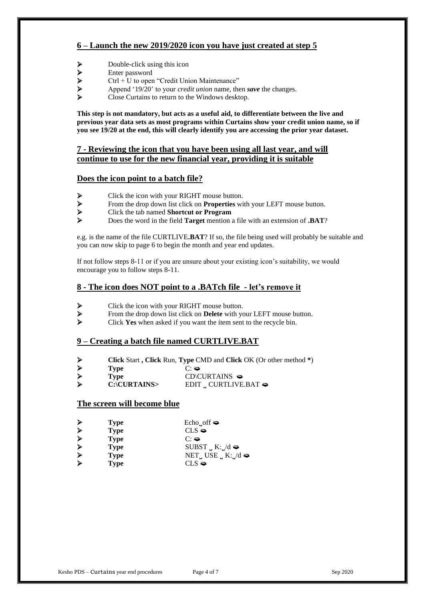#### **6 – Launch the new 2019/2020 icon you have just created at step 5**

- 
- ➢ Enter password
- → Double-click using this icon<br>
→ Enter password<br>
→ Ctrl + U to open "Credit Uni
- $\triangleright$  Ctrl + U to open "Credit Union Maintenance"<br>  $\triangleright$  Append '19/20' to your *credit union* name, the ➢ Append '19/20' to your *credit union* name, then *save* the changes.
- ➢ Close Curtains to return to the Windows desktop.

**This step is not mandatory, but acts as a useful aid, to differentiate between the live and previous year data sets as most programs within Curtains show your credit union name, so if you see 19/20 at the end, this will clearly identify you are accessing the prior year dataset.**

#### **7 - Reviewing the icon that you have been using all last year, and will continue to use for the new financial year, providing it is suitable**

#### **Does the icon point to a batch file?**

- 
- $\triangleright$  Click the icon with your RIGHT mouse button.<br>  $\triangleright$  From the drop down list click on **Properties** wi ➢ From the drop down list click on **Properties** with your LEFT mouse button.
- ➢ Click the tab named **Shortcut or Program**
- ➢ Does the word in the field **Target** mention a file with an extension of **.BAT**?

e.g. is the name of the file CURTLIVE**.BAT**? If so, the file being used will probably be suitable and you can now skip to page 6 to begin the month and year end updates.

If not follow steps 8-11 or if you are unsure about your existing icon's suitability, we would encourage you to follow steps 8-11.

#### **8 - The icon does NOT point to a .BATch file - let's remove it**

- ➢ Click the icon with your RIGHT mouse button.
- ➢ From the drop down list click on **Delete** with your LEFT mouse button.
- ➢ Click **Yes** when asked if you want the item sent to the recycle bin.

#### **9 – Creating a batch file named CURTLIVE.BAT**

- ➢ **Click** Start **, Click** Run, **Type** CMD and **Click** OK (Or other method **\***)
- ➢ **Type** C: ➢ **Type** CD\CURTAINS C:\CURTAINS> EDIT <sub>↓</sub> CURTLIVE.BAT  $\blacktriangleright$

#### **The screen will become blue**

| <b>Type</b> | Echo <sub>u</sub> off $\Rightarrow$      |
|-------------|------------------------------------------|
| <b>Type</b> | $CLS \triangleleft$                      |
| <b>Type</b> | $C: \bullet$                             |
| <b>Type</b> | $SUBST \cup K:\_ /d \rightleftharpoons$  |
| <b>Type</b> | NET USE $_K$ K: $/d \blacktriangleright$ |
| <b>Type</b> | $CLS \triangleleft$                      |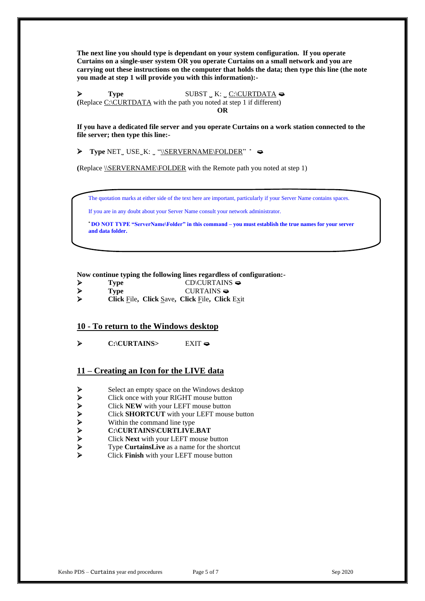**The next line you should type is dependant on your system configuration. If you operate Curtains on a single-user system OR you operate Curtains on a small network and you are carrying out these instructions on the computer that holds the data; then type this line (the note you made at step 1 will provide you with this information):-**

➢ **Type** SUBST **̺**K: **̺**C:\CURTDATA **(**Replace C:\CURTDATA with the path you noted at step 1 if different) **OR**

**If you have a dedicated file server and you operate Curtains on a work station connected to the file server; then type this line:-**

➢ **Type** NET **̺** USE **̺**K: **̺** "\\SERVERNAME\FOLDER" **\***

**(**Replace \\SERVERNAME\FOLDER with the Remote path you noted at step 1)

The quotation marks at either side of the text here are important, particularly if your Server Name contains spaces.

If you are in any doubt about your Server Name consult your network administrator.

**\* DO NOT TYPE "ServerName\Folder" in this command – you must establish the true names for your server and data folder.**

**Now continue typing the following lines regardless of configuration:-**

| Type | $CD$ CD $\subset$ D $\subset$ TAINS $\Rightarrow$ |
|------|---------------------------------------------------|
| Type | CURTAINS $\Rightarrow$                            |
|      | _____                                             |

➢ **Click** File**, Click** Save**, Click** File**, Click** Exit

#### **10 - To return to the Windows desktop**

➢ **C:\CURTAINS>** EXIT

#### **11 – Creating an Icon for the LIVE data**

- 
- ➢ Click once with your RIGHT mouse button
- ➢ Click **NEW** with your LEFT mouse button
- ► Select an empty space on the Windows desktop<br/>\nClick once with your RIGHT mouse button<br/>\nClick NEW with your LEFT mouse button<br/>\nClick SHORTCUT with your LEFT mouse but<br/>\nWithin the command line type<br/>\nC:\CURTAINS\CURTLIVE.BAT<br/>\nSet: Cuck Next with your LEFT mouse button<br/>\nType CartainsLive as a name for the shortcut<br/>\nClick Finish with your LEFT mouse button ➢ Click **SHORTCUT** with your LEFT mouse button
- Within the command line type
- ➢ **C:\CURTAINS\CURTLIVE.BAT**
- ➢ Click **Next** with your LEFT mouse button
- ➢ Type **CurtainsLive** as a name for the shortcut
- ➢ Click **Finish** with your LEFT mouse button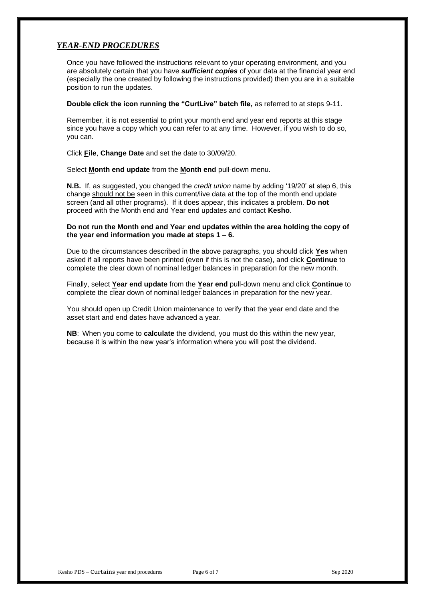#### *YEAR-END PROCEDURES*

Once you have followed the instructions relevant to your operating environment, and you are absolutely certain that you have *sufficient copies* of your data at the financial year end (especially the one created by following the instructions provided) then you are in a suitable position to run the updates.

#### **Double click the icon running the "CurtLive" batch file,** as referred to at steps 9-11.

Remember, it is not essential to print your month end and year end reports at this stage since you have a copy which you can refer to at any time. However, if you wish to do so, you can.

Click **File**, **Change Date** and set the date to 30/09/20.

Select **Month end update** from the **Month end** pull-down menu.

**N.B.** If, as suggested, you changed the *credit union* name by adding '19/20' at step 6, this change should not be seen in this current/live data at the top of the month end update screen (and all other programs). If it does appear, this indicates a problem. **Do not**  proceed with the Month end and Year end updates and contact **Kesho**.

#### **Do not run the Month end and Year end updates within the area holding the copy of the year end information you made at steps 1 – 6.**

Due to the circumstances described in the above paragraphs, you should click **Yes** when asked if all reports have been printed (even if this is not the case), and click **Continue** to complete the clear down of nominal ledger balances in preparation for the new month.

Finally, select **Year end update** from the **Year end** pull-down menu and click **Continue** to complete the clear down of nominal ledger balances in preparation for the new year.

You should open up Credit Union maintenance to verify that the year end date and the asset start and end dates have advanced a year.

**NB**: When you come to **calculate** the dividend, you must do this within the new year, because it is within the new year's information where you will post the dividend.